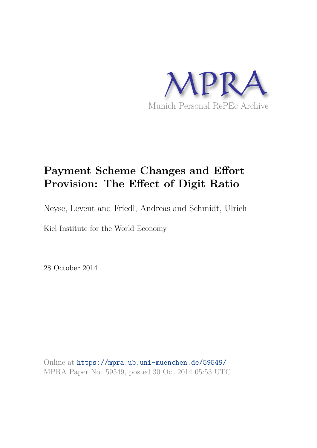

## **Payment Scheme Changes and Effort Provision: The Effect of Digit Ratio**

Neyse, Levent and Friedl, Andreas and Schmidt, Ulrich

Kiel Institute for the World Economy

28 October 2014

Online at https://mpra.ub.uni-muenchen.de/59549/ MPRA Paper No. 59549, posted 30 Oct 2014 05:53 UTC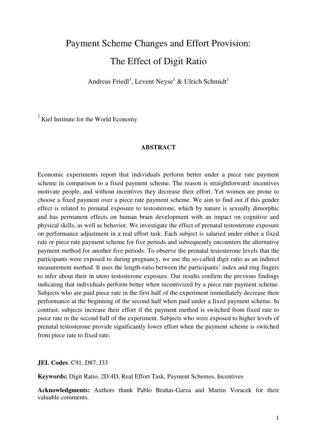# Payment Scheme Changes and Effort Provision: The Effect of Digit Ratio

Andreas Friedl<sup>1</sup>, Levent Neyse<sup>1</sup> & Ulrich Schmidt<sup>1</sup>

 $1$  Kiel Institute for the World Economy

#### **ABSTRACT**

Economic experiments report that individuals perform better under a piece rate payment scheme in comparison to a fixed payment scheme. The reason is straightforward: incentives motivate people, and without incentives they decrease their effort. Yet women are prone to choose a fixed payment over a piece rate payment scheme. We aim to find out if this gender effect is related to prenatal exposure to testosterone, which by nature is sexually dimorphic and has permanent effects on human brain development with an impact on cognitive and physical skills, as well as behavior. We investigate the effect of prenatal testosterone exposure on performance adjustment in a real effort task. Each subject is salaried under either a fixed rate or piece rate payment scheme for five periods and subsequently encounters the alternative payment method for another five periods. To observe the prenatal testosterone levels that the participants were exposed to during pregnancy, we use the so-called digit ratio as an indirect measurement method. It uses the length-ratio between the participants' index and ring fingers to infer about their in utero testosterone exposure. Our results confirm the previous findings indicating that individuals perform better when incentivized by a piece rate payment scheme. Subjects who are paid piece rate in the first half of the experiment immediately decrease their performance at the beginning of the second half when paid under a fixed payment scheme. In contrast, subjects increase their effort if the payment method is switched from fixed rate to piece rate in the second half of the experiment. Subjects who were exposed to higher levels of prenatal testosterone provide significantly lower effort when the payment scheme is switched from piece rate to fixed rate.

**JEL Codes**: C91, D87, J33

**Keywords:** Digit Ratio, 2D:4D, Real Effort Task, Payment Schemes, Incentives

**Acknowledgments:** Authors thank Pablo Brañas-Garza and Martin Voracek for their valuable comments.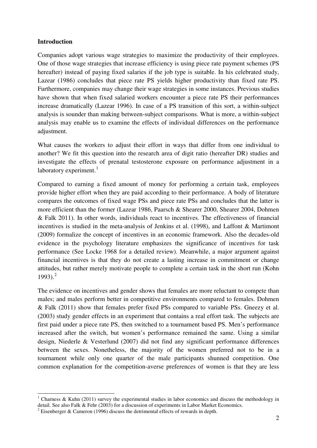#### **Introduction**

l

Companies adopt various wage strategies to maximize the productivity of their employees. One of those wage strategies that increase efficiency is using piece rate payment schemes (PS hereafter) instead of paying fixed salaries if the job type is suitable. In his celebrated study, Lazear (1986) concludes that piece rate PS yields higher productivity than fixed rate PS. Furthermore, companies may change their wage strategies in some instances. Previous studies have shown that when fixed salaried workers encounter a piece rate PS their performances increase dramatically (Lazear 1996). In case of a PS transition of this sort, a within-subject analysis is sounder than making between-subject comparisons. What is more, a within-subject analysis may enable us to examine the effects of individual differences on the performance adjustment.

What causes the workers to adjust their effort in ways that differ from one individual to another? We fit this question into the research area of digit ratio (hereafter DR) studies and investigate the effects of prenatal testosterone exposure on performance adjustment in a laboratory experiment.<sup>[1](#page-2-0)</sup>

Compared to earning a fixed amount of money for performing a certain task, employees provide higher effort when they are paid according to their performance. A body of literature compares the outcomes of fixed wage PSs and piece rate PSs and concludes that the latter is more efficient than the former (Lazear 1986, Paarsch & Shearer 2000, Shearer 2004, Dohmen & Falk 2011). In other words, individuals react to incentives. The effectiveness of financial incentives is studied in the meta-analysis of Jenkins et al. (1998), and Laffont & Martimont (2009) formalize the concept of incentives in an economic framework. Also the decades-old evidence in the psychology literature emphasizes the significance of incentives for task performance (See Locke 1968 for a detailed review). Meanwhile, a major argument against financial incentives is that they do not create a lasting increase in commitment or change attitudes, but rather merely motivate people to complete a certain task in the short run (Kohn  $1993$ <sup>[2](#page-2-1)</sup>

The evidence on incentives and gender shows that females are more reluctant to compete than males; and males perform better in competitive environments compared to females. Dohmen & Falk (2011) show that females prefer fixed PSs compared to variable PSs. Gneezy et al. (2003) study gender effects in an experiment that contains a real effort task. The subjects are first paid under a piece rate PS, then switched to a tournament based PS. Men's performance increased after the switch, but women's performance remained the same. Using a similar design, Niederle & Vesterlund (2007) did not find any significant performance differences between the sexes. Nonetheless, the majority of the women preferred not to be in a tournament while only one quarter of the male participants shunned competition. One common explanation for the competition-averse preferences of women is that they are less

<span id="page-2-0"></span><sup>&</sup>lt;sup>1</sup> Charness & Kuhn (2011) survey the experimental studies in labor economics and discuss the methodology in detail. See also Falk & Fehr (2003) for a discussion of experiments in Labor Market Economics.

<span id="page-2-1"></span><sup>&</sup>lt;sup>2</sup> Eisenberger & Cameron (1996) discuss the detrimental effects of rewards in depth.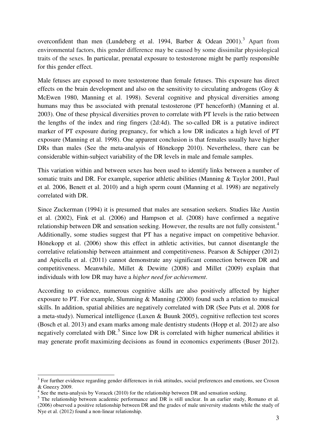overconfident than men (Lundeberg et al. 1994, Barber & Odean 2001).<sup>[3](#page-3-0)</sup> Apart from environmental factors, this gender difference may be caused by some dissimilar physiological traits of the sexes. In particular, prenatal exposure to testosterone might be partly responsible for this gender effect.

Male fetuses are exposed to more testosterone than female fetuses. This exposure has direct effects on the brain development and also on the sensitivity to circulating androgens (Goy & McEwen 1980, Manning et al. 1998). Several cognitive and physical diversities among humans may thus be associated with prenatal testosterone (PT henceforth) (Manning et al. 2003). One of these physical diversities proven to correlate with PT levels is the ratio between the lengths of the index and ring fingers (2d:4d). The so-called DR is a putative indirect marker of PT exposure during pregnancy, for which a low DR indicates a high level of PT exposure (Manning et al. 1998). One apparent conclusion is that females usually have higher DRs than males (See the meta-analysis of Hönekopp 2010). Nevertheless, there can be considerable within-subject variability of the DR levels in male and female samples.

This variation within and between sexes has been used to identify links between a number of somatic traits and DR. For example, superior athletic abilities (Manning & Taylor 2001, Paul et al. 2006, Benett et al. 2010) and a high sperm count (Manning et al. 1998) are negatively correlated with DR.

Since Zuckerman (1994) it is presumed that males are sensation seekers. Studies like Austin et al. (2002), Fink et al. (2006) and Hampson et al. (2008) have confirmed a negative relationship between DR and sensation seeking. However, the results are not fully consistent.<sup>[4](#page-3-1)</sup> Additionally, some studies suggest that PT has a negative impact on competitive behavior. Hönekopp et al. (2006) show this effect in athletic activities, but cannot disentangle the correlative relationship between attainment and competitiveness. Pearson & Schipper (2012) and Apicella et al. (2011) cannot demonstrate any significant connection between DR and competitiveness. Meanwhile, Millet & Dewitte (2008) and Millet (2009) explain that individuals with low DR may have a *higher need for achievement*.

According to evidence, numerous cognitive skills are also positively affected by higher exposure to PT. For example, Slumming  $&$  Manning (2000) found such a relation to musical skills. In addition, spatial abilities are negatively correlated with DR (See Puts et al. 2008 for a meta-study). Numerical intelligence (Luxen & Buunk 2005), cognitive reflection test scores (Bosch et al. 2013) and exam marks among male dentistry students (Hopp et al. 2012) are also negatively correlated with DR.<sup>[5](#page-3-2)</sup> Since low DR is correlated with higher numerical abilities it may generate profit maximizing decisions as found in economics experiments (Buser 2012).

l

<span id="page-3-0"></span><sup>&</sup>lt;sup>3</sup> For further evidence regarding gender differences in risk attitudes, social preferences and emotions, see Croson & Gneezy 2009.

<span id="page-3-1"></span><sup>&</sup>lt;sup>4</sup> See the meta-analysis by Voracek (2010) for the relationship between DR and sensation seeking.

<span id="page-3-2"></span><sup>&</sup>lt;sup>5</sup> The relationship between academic performance and DR is still unclear. In an earlier study, Romano et al. (2006) observed a positive relationship between DR and the grades of male university students while the study of Nye et al. (2012) found a non-linear relationship.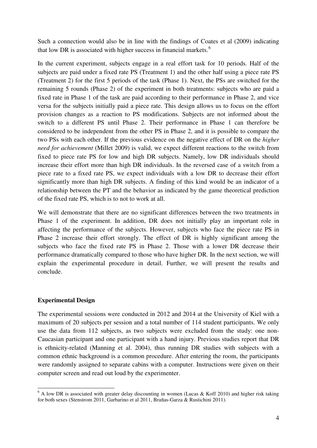Such a connection would also be in line with the findings of Coates et al (2009) indicating that low DR is associated with higher success in financial markets. $<sup>6</sup>$  $<sup>6</sup>$  $<sup>6</sup>$ </sup>

In the current experiment, subjects engage in a real effort task for 10 periods. Half of the subjects are paid under a fixed rate PS (Treatment 1) and the other half using a piece rate PS (Treatment 2) for the first 5 periods of the task (Phase 1). Next, the PSs are switched for the remaining 5 rounds (Phase 2) of the experiment in both treatments: subjects who are paid a fixed rate in Phase 1 of the task are paid according to their performance in Phase 2, and vice versa for the subjects initially paid a piece rate. This design allows us to focus on the effort provision changes as a reaction to PS modifications. Subjects are not informed about the switch to a different PS until Phase 2. Their performance in Phase 1 can therefore be considered to be independent from the other PS in Phase 2, and it is possible to compare the two PSs with each other. If the previous evidence on the negative effect of DR on the *higher need for achievement* (Millet 2009) is valid, we expect different reactions to the switch from fixed to piece rate PS for low and high DR subjects. Namely, low DR individuals should increase their effort more than high DR individuals. In the reversed case of a switch from a piece rate to a fixed rate PS, we expect individuals with a low DR to decrease their effort significantly more than high DR subjects. A finding of this kind would be an indicator of a relationship between the PT and the behavior as indicated by the game theoretical prediction of the fixed rate PS, which is to not to work at all.

We will demonstrate that there are no significant differences between the two treatments in Phase 1 of the experiment. In addition, DR does not initially play an important role in affecting the performance of the subjects. However, subjects who face the piece rate PS in Phase 2 increase their effort strongly. The effect of DR is highly significant among the subjects who face the fixed rate PS in Phase 2. Those with a lower DR decrease their performance dramatically compared to those who have higher DR. In the next section, we will explain the experimental procedure in detail. Further, we will present the results and conclude.

#### **Experimental Design**

l

The experimental sessions were conducted in 2012 and 2014 at the University of Kiel with a maximum of 20 subjects per session and a total number of 114 student participants. We only use the data from 112 subjects, as two subjects were excluded from the study: one non-Caucasian participant and one participant with a hand injury. Previous studies report that DR is ethnicity-related (Manning et al. 2004), thus running DR studies with subjects with a common ethnic background is a common procedure. After entering the room, the participants were randomly assigned to separate cabins with a computer. Instructions were given on their computer screen and read out loud by the experimenter.

<span id="page-4-0"></span><sup>&</sup>lt;sup>6</sup> A low DR is associated with greater delay discounting in women (Lucas & Koff 2010) and higher risk taking for both sexes (Stenstrom 2011, Garbarino et al 2011, Brañas-Garza & Rustichini 2011).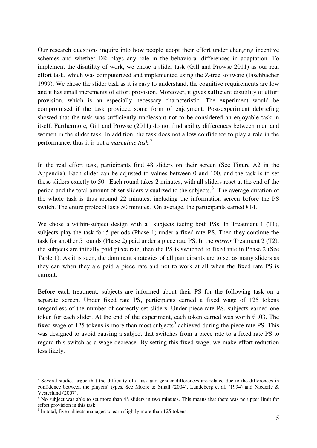Our research questions inquire into how people adopt their effort under changing incentive schemes and whether DR plays any role in the behavioral differences in adaptation. To implement the disutility of work, we chose a slider task (Gill and Prowse 2011) as our real effort task, which was computerized and implemented using the Z-tree software (Fischbacher 1999). We chose the slider task as it is easy to understand, the cognitive requirements are low and it has small increments of effort provision. Moreover, it gives sufficient disutility of effort provision, which is an especially necessary characteristic. The experiment would be compromised if the task provided some form of enjoyment. Post-experiment debriefing showed that the task was sufficiently unpleasant not to be considered an enjoyable task in itself. Furthermore, Gill and Prowse (2011) do not find ability differences between men and women in the slider task. In addition, the task does not allow confidence to play a role in the performance, thus it is not a *masculine task*. [7](#page-5-0)

In the real effort task, participants find 48 sliders on their screen (See Figure A2 in the Appendix). Each slider can be adjusted to values between 0 and 100, and the task is to set these sliders exactly to 50. Each round takes 2 minutes, with all sliders reset at the end of the period and the total amount of set sliders visualized to the subjects.<sup>[8](#page-5-1)</sup> The average duration of the whole task is thus around 22 minutes, including the information screen before the PS switch. The entire protocol lasts 50 minutes. On average, the participants earned  $\epsilon$ 14.

We chose a within-subject design with all subjects facing both PSs. In Treatment 1 (T1), subjects play the task for 5 periods (Phase 1) under a fixed rate PS. Then they continue the task for another 5 rounds (Phase 2) paid under a piece rate PS. In the *mirror* Treatment 2 (T2), the subjects are initially paid piece rate, then the PS is switched to fixed rate in Phase 2 (See Table 1). As it is seen, the dominant strategies of all participants are to set as many sliders as they can when they are paid a piece rate and not to work at all when the fixed rate PS is current.

Before each treatment, subjects are informed about their PS for the following task on a separate screen. Under fixed rate PS, participants earned a fixed wage of 125 tokens 6regardless of the number of correctly set sliders. Under piece rate PS, subjects earned one token for each slider. At the end of the experiment, each token earned was worth  $\epsilon$  .03. The fixed wage of 125 tokens is more than most subjects<sup>[9](#page-5-2)</sup> achieved during the piece rate PS. This was designed to avoid causing a subject that switches from a piece rate to a fixed rate PS to regard this switch as a wage decrease. By setting this fixed wage, we make effort reduction less likely.

l

<span id="page-5-0"></span> $<sup>7</sup>$  Several studies argue that the difficulty of a task and gender differences are related due to the differences in</sup> confidence between the players' types. See Moore & Small (2004), Lundeberg et al. (1994) and Niederle & Vesterlund (2007).

<span id="page-5-1"></span><sup>&</sup>lt;sup>8</sup> No subject was able to set more than 48 sliders in two minutes. This means that there was no upper limit for effort provision in this task.

<span id="page-5-2"></span><sup>&</sup>lt;sup>9</sup> In total, five subjects managed to earn slightly more than 125 tokens.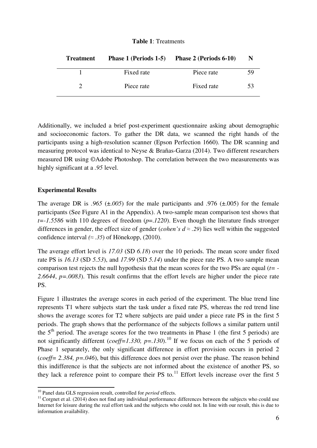#### **Table 1**: Treatments

| <b>Treatment</b> | <b>Phase 1 (Periods 1-5)</b> | Phase 2 (Periods 6-10) | N  |
|------------------|------------------------------|------------------------|----|
|                  | Fixed rate                   | Piece rate             | 59 |
|                  | Piece rate                   | Fixed rate             | 53 |

Additionally, we included a brief post-experiment questionnaire asking about demographic and socioeconomic factors. To gather the DR data, we scanned the right hands of the participants using a high-resolution scanner (Epson Perfection 1660). The DR scanning and measuring protocol was identical to Neyse & Brañas-Garza (2014). Two different researchers measured DR using ©Adobe Photoshop. The correlation between the two measurements was highly significant at a *.95* level.

#### **Experimental Results**

 $\overline{a}$ 

The average DR is  $.965$  ( $\pm .005$ ) for the male participants and  $.976$  ( $\pm .005$ ) for the female participants (See Figure A1 in the Appendix). A two-sample mean comparison test shows that *t=-1.5586* with 110 degrees of freedom (*p*=.*1220*). Even though the literature finds stronger differences in gender, the effect size of gender (*cohen's d*  $\approx$  *.29*) lies well within the suggested confidence interval  $(\approx .35)$  of Hönekopp, (2010).

The average effort level is *17.03* (SD *6.18*) over the 10 periods. The mean score under fixed rate PS is *16.13* (SD *5.53*), and *17.99* (SD *5.14*) under the piece rate PS. A two sample mean comparison test rejects the null hypothesis that the mean scores for the two PSs are equal (*t= - 2.6644*, *p=.0083*). This result confirms that the effort levels are higher under the piece rate PS.

Figure 1 illustrates the average scores in each period of the experiment. The blue trend line represents T1 where subjects start the task under a fixed rate PS, whereas the red trend line shows the average scores for T2 where subjects are paid under a piece rate PS in the first 5 periods. The graph shows that the performance of the subjects follows a similar pattern until the  $5<sup>th</sup>$  period. The average scores for the two treatments in Phase 1 (the first 5 periods) are not significantly different (*coeff=1.330, p=.130)*.<sup>[10](#page-6-0)</sup> If we focus on each of the 5 periods of Phase 1 separately, the only significant difference in effort provision occurs in period 2 (*coeff= 2.384, p=.046*), but this difference does not persist over the phase. The reason behind this indifference is that the subjects are not informed about the existence of another PS, so they lack a reference point to compare their PS to. $^{11}$  $^{11}$  $^{11}$  Effort levels increase over the first 5

<sup>10</sup> Panel data GLS regression result, controlled for *period* effects.

<span id="page-6-1"></span><span id="page-6-0"></span><sup>&</sup>lt;sup>11</sup> Corgnet et al. (2014) does not find any individual performance differences between the subjects who could use Internet for leisure during the real effort task and the subjects who could not. In line with our result, this is due to information availability.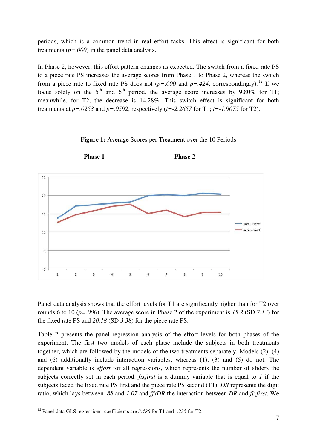periods, which is a common trend in real effort tasks. This effect is significant for both treatments  $(p=.000)$  in the panel data analysis.

In Phase 2, however, this effort pattern changes as expected. The switch from a fixed rate PS to a piece rate PS increases the average scores from Phase 1 to Phase 2, whereas the switch from a piece rate to fixed rate PS does not  $(p=.000$  and  $p=.424$ , correspondingly).<sup>[12](#page-7-0)</sup> If we focus solely on the  $5<sup>th</sup>$  and  $6<sup>th</sup>$  period, the average score increases by 9.80% for T1; meanwhile, for T2, the decrease is 14.28%. This switch effect is significant for both treatments at *p=.0253* and *p=.0592*, respectively (*t=-2.2657* for T1; *t=-1.9075* for T2).



**Figure 1:** Average Scores per Treatment over the 10 Periods

Panel data analysis shows that the effort levels for T1 are significantly higher than for T2 over rounds 6 to 10 (*p=.000*). The average score in Phase 2 of the experiment is *15.2* (SD *7.13*) for the fixed rate PS and *20.18* (SD *3.38*) for the piece rate PS.

Table 2 presents the panel regression analysis of the effort levels for both phases of the experiment. The first two models of each phase include the subjects in both treatments together, which are followed by the models of the two treatments separately. Models (2), (4) and (6) additionally include interaction variables, whereas (1), (3) and (5) do not. The dependent variable is *effort* for all regressions, which represents the number of sliders the subjects correctly set in each period. *fixfirst* is a dummy variable that is equal to *1* if the subjects faced the fixed rate PS first and the piece rate PS second (T1). *DR* represents the digit ratio, which lays between *.88* and *1.07* and *ffxDR* the interaction between *DR* and *fixfirst*. We

 $\overline{a}$ 

<span id="page-7-0"></span><sup>12</sup> Panel-data GLS regressions; coefficients are *3.486* for T1 and -*.235* for T2.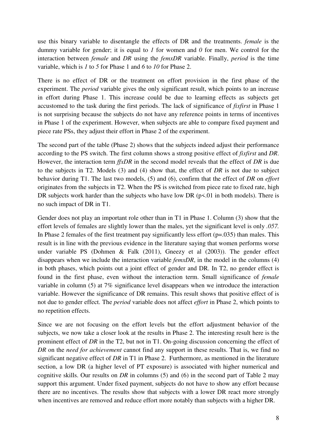use this binary variable to disentangle the effects of DR and the treatments. *female* is the dummy variable for gender; it is equal to *1* for women and *0* for men. We control for the interaction between *female* and *DR* using the *femxDR* variable. Finally, *period* is the time variable, which is *1* to *5* for Phase 1 and *6* to *10* for Phase 2.

There is no effect of DR or the treatment on effort provision in the first phase of the experiment. The *period* variable gives the only significant result, which points to an increase in effort during Phase 1. This increase could be due to learning effects as subjects get accustomed to the task during the first periods. The lack of significance of *fixfirst* in Phase 1 is not surprising because the subjects do not have any reference points in terms of incentives in Phase 1 of the experiment. However, when subjects are able to compare fixed payment and piece rate PSs, they adjust their effort in Phase 2 of the experiment.

The second part of the table (Phase 2) shows that the subjects indeed adjust their performance according to the PS switch. The first column shows a strong positive effect of *fixfirst* and *DR*. However, the interaction term *ffxDR* in the second model reveals that the effect of *DR* is due to the subjects in T2. Models (3) and (4) show that, the effect of *DR* is not due to subject behavior during T1. The last two models, (5) and (6), confirm that the effect of *DR* on *effort* originates from the subjects in T2. When the PS is switched from piece rate to fixed rate, high DR subjects work harder than the subjects who have low DR ( $p\le 01$  in both models). There is no such impact of DR in T1.

Gender does not play an important role other than in T1 in Phase 1. Column (3) show that the effort levels of females are slightly lower than the males, yet the significant level is only *.057.*  In Phase 2 females of the first treatment pay significantly less effort  $(p=.035)$  than males. This result is in line with the previous evidence in the literature saying that women performs worse under variable PS (Dohmen & Falk (2011), Gneezy et al (2003)). The gender effect disappears when we include the interaction variable *femxDR*, in the model in the columns (4) in both phases, which points out a joint effect of gender and DR. In T2, no gender effect is found in the first phase, even without the interaction term. Small significance of *female* variable in column (5) at 7% significance level disappears when we introduce the interaction variable. However the significance of DR remains. This result shows that positive effect of is not due to gender effect. The *period* variable does not affect *effort* in Phase 2, which points to no repetition effects.

Since we are not focusing on the effort levels but the effort adjustment behavior of the subjects, we now take a closer look at the results in Phase 2. The interesting result here is the prominent effect of *DR* in the T2, but not in T1. On-going discussion concerning the effect of *DR* on the *need for achievement* cannot find any support in these results. That is, we find no significant negative effect of *DR* in T1 in Phase 2. Furthermore, as mentioned in the literature section, a low DR (a higher level of PT exposure) is associated with higher numerical and cognitive skills. Our results on *DR* in columns (5) and (6) in the second part of Table 2 may support this argument. Under fixed payment, subjects do not have to show any effort because there are no incentives. The results show that subjects with a lower DR react more strongly when incentives are removed and reduce effort more notably than subjects with a higher DR.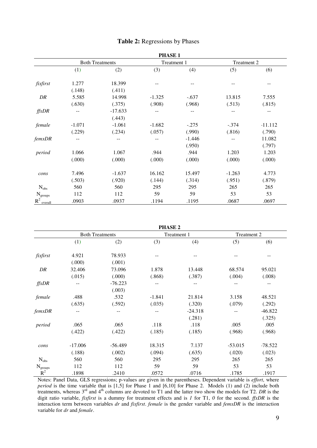|                  |                        |           | <b>PHASE 1</b> |          |             |           |
|------------------|------------------------|-----------|----------------|----------|-------------|-----------|
|                  | <b>Both Treatments</b> |           | Treatment 1    |          | Treatment 2 |           |
|                  | (1)                    | (2)       | (3)            | (4)      | (5)         | (6)       |
| fixfirst         | 1.277                  | 18.399    |                |          |             |           |
|                  | (.148)                 | (.411)    |                |          |             |           |
| DR               | 5.585                  | 14.998    | $-1.325$       | $-.637$  | 13.815      | 7.555     |
|                  | (.630)                 | (.375)    | (.908)         | (.968)   | (.513)      | (.815)    |
| ffxDR            |                        | $-17.633$ | --             | --       | --          | --        |
|                  |                        | (.443)    |                |          |             |           |
| female           | $-1.071$               | $-1.061$  | $-1.682$       | $-.275$  | $-.374$     | $-11.112$ |
|                  | (.229)                 | (.234)    | (.057)         | (.990)   | (.816)      | (.790)    |
| femxDR           |                        | --        | --             | $-1.446$ |             | 11.082    |
|                  |                        |           |                | (.950)   |             | (.797)    |
| period           | 1.066                  | 1.067     | .944           | .944     | 1.203       | 1.203     |
|                  | (.000)                 | (.000)    | (.000)         | (.000)   | (.000)      | (.000)    |
| cons             | 7.496                  | $-1.637$  | 16.162         | 15.497   | $-1.263$    | 4.773     |
|                  | (.503)                 | (.920)    | (.144)         | (.314)   | (.951)      | (.879)    |
| $N_{obs}$        | 560                    | 560       | 295            | 295      | 265         | 265       |
| $\rm N_{groups}$ | 112                    | 112       | 59             | 59       | 53          | 53        |
| $R^2$ overall    | .0903                  | .0937     | .1194          | .1195    | .0687       | .0697     |

#### **Table 2:** Regressions by Phases

| PHASE |  |  |
|-------|--|--|

|                  | <b>Both Treatments</b> |           | Treatment 1 |           | Treatment 2 |         |
|------------------|------------------------|-----------|-------------|-----------|-------------|---------|
|                  | (1)                    | (2)       | (3)         | (4)       | (5)         | (6)     |
| fixfirst         | 4.921                  | 78.933    |             |           |             |         |
|                  | (.000)                 | (.001)    |             |           |             |         |
| DR               | 32.406                 | 73.096    | 1.878       | 13.448    | 68.574      | 95.021  |
|                  | (.015)                 | (000)     | (.868)      | (.387)    | (.004)      | (.008)  |
| ffxDR            |                        | $-76.223$ | --          |           |             |         |
|                  |                        | (.003)    |             |           |             |         |
| female           | .488                   | .532      | $-1.841$    | 21.814    | 3.158       | 48.521  |
|                  | (.635)                 | (.592)    | (.035)      | (.320)    | (.079)      | (.292)  |
| femxDR           |                        |           | --          | $-24.318$ |             | -46.822 |
|                  |                        |           |             | (.281)    |             | (.325)  |
| period           | .065                   | .065      | .118        | .118      | .005        | .005    |
|                  | (.422)                 | (.422)    | (.185)      | (.185)    | (.968)      | (.968)  |
| cons             | $-17.006$              | $-56.489$ | 18.315      | 7.137     | $-53.015$   | -78.522 |
|                  | (.188)                 | (.002)    | (.094)      | (.635)    | (.020)      | (.023)  |
| $N_{obs}$        | 560                    | 560       | 295         | 295       | 265         | 265     |
| $\rm N_{groups}$ | 112                    | 112       | 59          | 59        | 53          | 53      |
| $R^2$            | .1898                  | .2410     | .0572       | .0716     | .1785       | .1917   |

Notes: Panel Data, GLS regressions; p-values are given in the parentheses. Dependent variable is *effort*, where *period* is the time variable that is [1,5] for Phase 1 and [6,10] for Phase 2. Models (1) and (2) include both treatments, whereas 3rd and 4th columns are devoted to T1 and the latter two show the models for T2. *DR* is the digit ratio variable, *fixfirst* is a dummy for treatment effects and is *1* for T1, *0* for the second. *ffxDR* is the interaction term between variables *dr* and *fixfirst*. *female* is the gender variable and *femxDR* is the interaction variable for *dr* and *female*.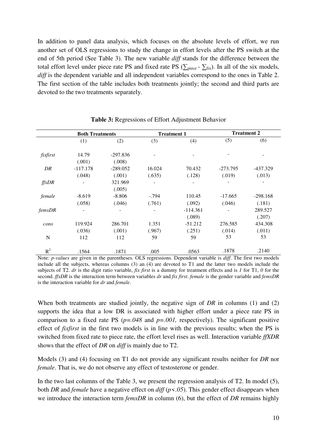In addition to panel data analysis, which focuses on the absolute levels of effort, we run another set of OLS regressions to study the change in effort levels after the PS switch at the end of 5th period (See Table 3). The new variable *diff* stands for the difference between the total effort level under piece rate PS and fixed rate PS ( $\sum_{\text{piece}} - \sum_{\text{fix}}$ ). In all of the six models, *diff* is the dependent variable and all independent variables correspond to the ones in Table 2. The first section of the table includes both treatments jointly; the second and third parts are devoted to the two treatments separately.

|          | <b>Both Treatments</b>   |                          | <b>Treatment 1</b>       |            | <b>Treatment 2</b> |            |
|----------|--------------------------|--------------------------|--------------------------|------------|--------------------|------------|
|          | (1)                      | (2)                      | (3)                      | (4)        | (5)                | (6)        |
| fixfirst | 14.79                    | $-297.836$               |                          |            |                    |            |
|          | (.001)                   | (.008)                   |                          |            |                    |            |
| DR       | $-117.178$               | $-289.052$               | 16.024                   | 70.432     | $-273.795$         | -437.329   |
|          | (.048)                   | (.001)                   | (.635)                   | (.128)     | (.019)             | (.013)     |
| ffxDR    |                          | 321.969                  |                          |            |                    |            |
|          |                          | (.005)                   |                          |            |                    |            |
| female   | $-8.619$                 | $-8.806$                 | $-.794$                  | 110.45     | $-17.665$          | $-298.168$ |
|          | (.058)                   | (.046)                   | (.761)                   | (.092)     | (.046)             | (.181)     |
| femxDR   | $\overline{\phantom{a}}$ | $\overline{\phantom{a}}$ | $\overline{\phantom{a}}$ | $-114.361$ |                    | 289.527    |
|          |                          |                          |                          | (.089)     |                    | (.207)     |
| cons     | 119.924                  | 286.701                  | 1.351                    | $-51.212$  | 276.585            | 434.308    |
|          | (.036)                   | (.001)                   | (.967)                   | (.251)     | (.014)             | (.011)     |
| N        | 112                      | 112                      | 59                       | 59         | 53                 | 53         |
| $R^2$    | .1564                    | .1871                    | .005                     | .0563      | .1878              | .2140      |

**Table 3:** Regressions of Effort Adjustment Behavior

Note: *p-values* are given in the parentheses. OLS regressions. Dependent variable is *diff*. The first two models include all the subjects, whereas columns (3) an (4) are devoted to T1 and the latter two models include the subjects of T2. *dr* is the digit ratio variable, *fix first* is a dummy for treatment effects and is *1* for T1, *0* for the second. *ffxDR* is the interaction term between variables *dr* and *fix first*. *female* is the gender variable and *femxDR* is the interaction variable for *dr* and *female*.

When both treatments are studied jointly, the negative sign of *DR* in columns (1) and (2) supports the idea that a low DR is associated with higher effort under a piece rate PS in comparison to a fixed rate PS (*p=.048* and *p=.001,* respectively). The significant positive effect of *fixfirst* in the first two models is in line with the previous results; when the PS is switched from fixed rate to piece rate, the effort level rises as well. Interaction variable *ffXDR*  shows that the effect of *DR* on *diff* is mainly due to T2.

Models (3) and (4) focusing on T1 do not provide any significant results neither for *DR* nor *female*. That is, we do not observe any effect of testosterone or gender.

In the two last columns of the Table 3, we present the regression analysis of T2. In model (5), both *DR* and *female* have a negative effect on *diff* (*p<.05*). This gender effect disappears when we introduce the interaction term *femxDR* in column (6), but the effect of *DR* remains highly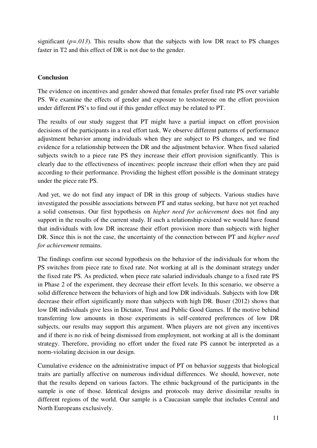significant  $(p=0.013)$ . This results show that the subjects with low DR react to PS changes faster in T2 and this effect of DR is not due to the gender.

### **Conclusion**

The evidence on incentives and gender showed that females prefer fixed rate PS over variable PS. We examine the effects of gender and exposure to testosterone on the effort provision under different PS's to find out if this gender effect may be related to PT.

The results of our study suggest that PT might have a partial impact on effort provision decisions of the participants in a real effort task. We observe different patterns of performance adjustment behavior among individuals when they are subject to PS changes, and we find evidence for a relationship between the DR and the adjustment behavior. When fixed salaried subjects switch to a piece rate PS they increase their effort provision significantly. This is clearly due to the effectiveness of incentives: people increase their effort when they are paid according to their performance. Providing the highest effort possible is the dominant strategy under the piece rate PS.

And yet, we do not find any impact of DR in this group of subjects. Various studies have investigated the possible associations between PT and status seeking, but have not yet reached a solid consensus. Our first hypothesis on *higher need for achievement* does not find any support in the results of the current study. If such a relationship existed we would have found that individuals with low DR increase their effort provision more than subjects with higher DR. Since this is not the case, the uncertainty of the connection between PT and *higher need for achievement* remains.

The findings confirm our second hypothesis on the behavior of the individuals for whom the PS switches from piece rate to fixed rate. Not working at all is the dominant strategy under the fixed rate PS. As predicted, when piece rate salaried individuals change to a fixed rate PS in Phase 2 of the experiment, they decrease their effort levels. In this scenario, we observe a solid difference between the behaviors of high and low DR individuals. Subjects with low DR decrease their effort significantly more than subjects with high DR. Buser (2012) shows that low DR individuals give less in Dictator, Trust and Public Good Games. If the motive behind transferring low amounts in those experiments is self-centered preferences of low DR subjects, our results may support this argument. When players are not given any incentives and if there is no risk of being dismissed from employment, not working at all is the dominant strategy. Therefore, providing no effort under the fixed rate PS cannot be interpreted as a norm-violating decision in our design.

Cumulative evidence on the administrative impact of PT on behavior suggests that biological traits are partially affective on numerous individual differences. We should, however, note that the results depend on various factors. The ethnic background of the participants in the sample is one of those. Identical designs and protocols may derive dissimilar results in different regions of the world. Our sample is a Caucasian sample that includes Central and North Europeans exclusively.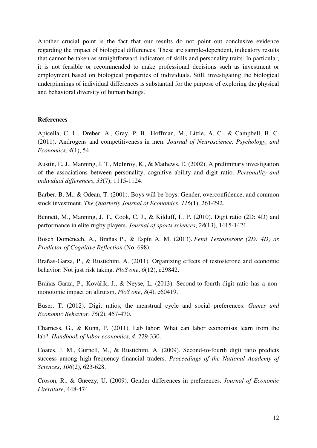Another crucial point is the fact that our results do not point out conclusive evidence regarding the impact of biological differences. These are sample-dependent, indicatory results that cannot be taken as straightforward indicators of skills and personality traits. In particular, it is not feasible or recommended to make professional decisions such as investment or employment based on biological properties of individuals. Still, investigating the biological underpinnings of individual differences is substantial for the purpose of exploring the physical and behavioral diversity of human beings.

#### **References**

Apicella, C. L., Dreber, A., Gray, P. B., Hoffman, M., Little, A. C., & Campbell, B. C. (2011). Androgens and competitiveness in men. *Journal of Neuroscience, Psychology, and Economics*, *4*(1), 54.

Austin, E. J., Manning, J. T., McInroy, K., & Mathews, E. (2002). A preliminary investigation of the associations between personality, cognitive ability and digit ratio. *Personality and individual differences*, *33*(7), 1115-1124.

Barber, B. M., & Odean, T. (2001). Boys will be boys: Gender, overconfidence, and common stock investment. *The Quarterly Journal of Economics*, *116*(1), 261-292.

Bennett, M., Manning, J. T., Cook, C. J., & Kilduff, L. P. (2010). Digit ratio (2D: 4D) and performance in elite rugby players. *Journal of sports sciences*, *28*(13), 1415-1421.

Bosch Domènech, A., Brañas P., & Espín A. M. (2013). *Fetal Testosterone (2D: 4D) as Predictor of Cognitive Reflection* (No. 698).

Brañas-Garza, P., & Rustichini, A. (2011). Organizing effects of testosterone and economic behavior: Not just risk taking. *PloS one*, *6*(12), e29842.

Brañas-Garza, P., Kovářík, J., & Neyse, L. (2013). Second-to-fourth digit ratio has a nonmonotonic impact on altruism. *PloS one*, *8*(4), e60419.

Buser, T. (2012). Digit ratios, the menstrual cycle and social preferences. *Games and Economic Behavior*, *76*(2), 457-470.

Charness, G., & Kuhn, P. (2011). Lab labor: What can labor economists learn from the lab?. *Handbook of labor economics*, *4*, 229-330.

Coates, J. M., Gurnell, M., & Rustichini, A. (2009). Second-to-fourth digit ratio predicts success among high-frequency financial traders. *Proceedings of the National Academy of Sciences*, *106*(2), 623-628.

Croson, R., & Gneezy, U. (2009). Gender differences in preferences. *Journal of Economic Literature*, 448-474.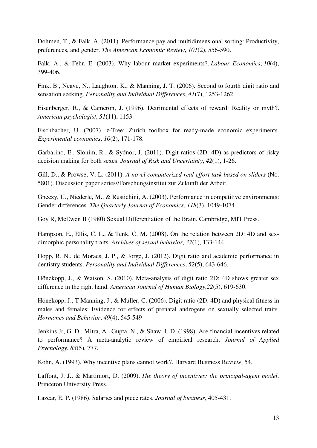Dohmen, T., & Falk, A. (2011). Performance pay and multidimensional sorting: Productivity, preferences, and gender. *The American Economic Review*, *101*(2), 556-590.

Falk, A., & Fehr, E. (2003). Why labour market experiments?. *Labour Economics*, *10*(4), 399-406.

Fink, B., Neave, N., Laughton, K., & Manning, J. T. (2006). Second to fourth digit ratio and sensation seeking. *Personality and Individual Differences*, *41*(7), 1253-1262.

Eisenberger, R., & Cameron, J. (1996). Detrimental effects of reward: Reality or myth?. *American psychologist*, *51*(11), 1153.

Fischbacher, U. (2007). z-Tree: Zurich toolbox for ready-made economic experiments. *Experimental economics*, *10*(2), 171-178.

Garbarino, E., Slonim, R., & Sydnor, J. (2011). Digit ratios (2D: 4D) as predictors of risky decision making for both sexes. *Journal of Risk and Uncertainty*, *42*(1), 1-26.

Gill, D., & Prowse, V. L. (2011). *A novel computerized real effort task based on sliders* (No. 5801). Discussion paper series//Forschungsinstitut zur Zukunft der Arbeit.

Gneezy, U., Niederle, M., & Rustichini, A. (2003). Performance in competitive environments: Gender differences. *The Quarterly Journal of Economics*, *118*(3), 1049-1074.

Goy R, McEwen B (1980) Sexual Differentiation of the Brain. Cambridge, MIT Press.

Hampson, E., Ellis, C. L., & Tenk, C. M. (2008). On the relation between 2D: 4D and sexdimorphic personality traits. *Archives of sexual behavior*, *37*(1), 133-144.

Hopp, R. N., de Moraes, J. P., & Jorge, J. (2012). Digit ratio and academic performance in dentistry students. *Personality and Individual Differences*, *52*(5), 643-646.

Hönekopp, J., & Watson, S. (2010). Meta-analysis of digit ratio 2D: 4D shows greater sex difference in the right hand. *American Journal of Human Biology*,*22*(5), 619-630.

Hönekopp, J., T Manning, J., & Müller, C. (2006). Digit ratio (2D: 4D) and physical fitness in males and females: Evidence for effects of prenatal androgens on sexually selected traits. *Hormones and Behavior*, *49*(4), 545-549

Jenkins Jr, G. D., Mitra, A., Gupta, N., & Shaw, J. D. (1998). Are financial incentives related to performance? A meta-analytic review of empirical research. *Journal of Applied Psychology*, *83*(5), 777.

Kohn, A. (1993). Why incentive plans cannot work?. Harvard Business Review, 54.

Laffont, J. J., & Martimort, D. (2009). *The theory of incentives: the principal-agent model*. Princeton University Press.

Lazear, E. P. (1986). Salaries and piece rates. *Journal of business*, 405-431.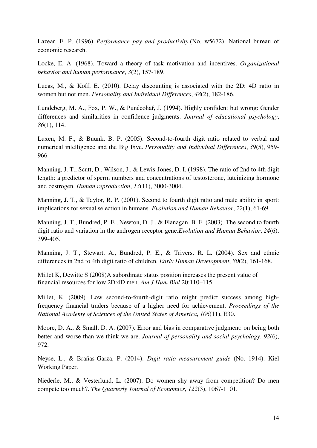Lazear, E. P. (1996). *Performance pay and productivity* (No. w5672). National bureau of economic research.

Locke, E. A. (1968). Toward a theory of task motivation and incentives. *Organizational behavior and human performance*, *3*(2), 157-189.

Lucas, M., & Koff, E. (2010). Delay discounting is associated with the 2D: 4D ratio in women but not men. *Personality and Individual Differences*, *48*(2), 182-186.

Lundeberg, M. A., Fox, P. W., & Punćcohaŕ, J. (1994). Highly confident but wrong: Gender differences and similarities in confidence judgments. *Journal of educational psychology*, *86*(1), 114.

Luxen, M. F., & Buunk, B. P. (2005). Second-to-fourth digit ratio related to verbal and numerical intelligence and the Big Five. *Personality and Individual Differences*, *39*(5), 959- 966.

Manning, J. T., Scutt, D., Wilson, J., & Lewis-Jones, D. I. (1998). The ratio of 2nd to 4th digit length: a predictor of sperm numbers and concentrations of testosterone, luteinizing hormone and oestrogen. *Human reproduction*, *13*(11), 3000-3004.

Manning, J. T., & Taylor, R. P. (2001). Second to fourth digit ratio and male ability in sport: implications for sexual selection in humans. *Evolution and Human Behavior*, *22*(1), 61-69.

Manning, J. T., Bundred, P. E., Newton, D. J., & Flanagan, B. F. (2003). The second to fourth digit ratio and variation in the androgen receptor gene.*Evolution and Human Behavior*, *24*(6), 399-405.

Manning, J. T., Stewart, A., Bundred, P. E., & Trivers, R. L. (2004). Sex and ethnic differences in 2nd to 4th digit ratio of children. *Early Human Development*, *80*(2), 161-168.

Millet K, Dewitte S (2008)A subordinate status position increases the present value of financial resources for low 2D:4D men. *Am J Hum Biol* 20:110–115.

Millet, K. (2009). Low second-to-fourth-digit ratio might predict success among highfrequency financial traders because of a higher need for achievement. *Proceedings of the National Academy of Sciences of the United States of America*, *106*(11), E30.

Moore, D. A., & Small, D. A. (2007). Error and bias in comparative judgment: on being both better and worse than we think we are. *Journal of personality and social psychology*, *92*(6), 972.

Neyse, L., & Brañas-Garza, P. (2014). *Digit ratio measurement guide* (No. 1914). Kiel Working Paper.

Niederle, M., & Vesterlund, L. (2007). Do women shy away from competition? Do men compete too much?. *The Quarterly Journal of Economics*, *122*(3), 1067-1101.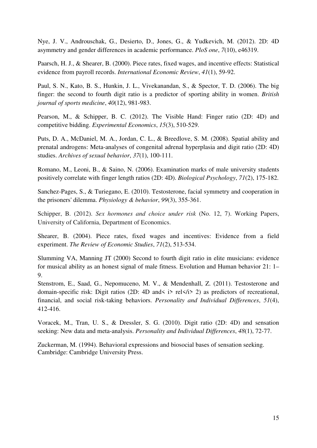Nye, J. V., Androuschak, G., Desierto, D., Jones, G., & Yudkevich, M. (2012). 2D: 4D asymmetry and gender differences in academic performance. *PloS one*, *7*(10), e46319.

Paarsch, H. J., & Shearer, B. (2000). Piece rates, fixed wages, and incentive effects: Statistical evidence from payroll records. *International Economic Review*, *41*(1), 59-92.

Paul, S. N., Kato, B. S., Hunkin, J. L., Vivekanandan, S., & Spector, T. D. (2006). The big finger: the second to fourth digit ratio is a predictor of sporting ability in women. *British journal of sports medicine*, *40*(12), 981-983.

Pearson, M., & Schipper, B. C. (2012). The Visible Hand: Finger ratio (2D: 4D) and competitive bidding. *Experimental Economics*, *15*(3), 510-529.

Puts, D. A., McDaniel, M. A., Jordan, C. L., & Breedlove, S. M. (2008). Spatial ability and prenatal androgens: Meta-analyses of congenital adrenal hyperplasia and digit ratio (2D: 4D) studies. *Archives of sexual behavior*, *37*(1), 100-111.

Romano, M., Leoni, B., & Saino, N. (2006). Examination marks of male university students positively correlate with finger length ratios (2D: 4D). *Biological Psychology*, *71*(2), 175-182.

Sanchez-Pages, S., & Turiegano, E. (2010). Testosterone, facial symmetry and cooperation in the prisoners' dilemma. *Physiology & behavior*, *99*(3), 355-361.

Schipper, B. (2012). *Sex hormones and choice under risk* (No. 12, 7). Working Papers, University of California, Department of Economics.

Shearer, B. (2004). Piece rates, fixed wages and incentives: Evidence from a field experiment. *The Review of Economic Studies*, *71*(2), 513-534.

Slumming VA, Manning JT (2000) Second to fourth digit ratio in elite musicians: evidence for musical ability as an honest signal of male fitness. Evolution and Human behavior 21: 1– 9.

Stenstrom, E., Saad, G., Nepomuceno, M. V., & Mendenhall, Z. (2011). Testosterone and domain-specific risk: Digit ratios (2D: 4D and < i> rel < />  $\ell$  i> 2) as predictors of recreational, financial, and social risk-taking behaviors. *Personality and Individual Differences*, *51*(4), 412-416.

Voracek, M., Tran, U. S., & Dressler, S. G. (2010). Digit ratio (2D: 4D) and sensation seeking: New data and meta-analysis. *Personality and Individual Differences*, *48*(1), 72-77.

Zuckerman, M. (1994). Behavioral expressions and biosocial bases of sensation seeking. Cambridge: Cambridge University Press.